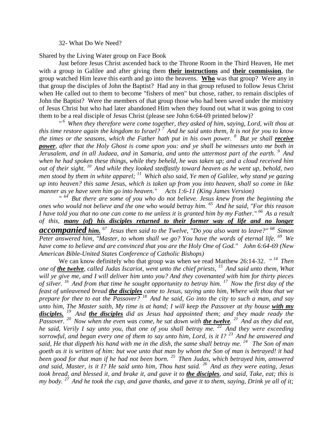## 32- What Do We Need?

Shared by the Living Water group on Face Book

Just before Jesus Christ ascended back to the Throne Room in the Third Heaven, He met with a group in Galilee and after giving them **their instructions** and **their commission**, the group watched Him leave this earth and go into the heavens. **Who** was that group? Were any in that group the disciples of John the Baptist? Had any in that group refused to follow Jesus Christ when He called out to them to become "fishers of men" but chose, rather, to remain disciples of John the Baptist? Were the members of that group those who had been saved under the ministry of Jesus Christ but who had later abandoned Him when they found out what it was going to cost them to be a real disciple of Jesus Christ (please see John 6:64-69 printed below)?

*" <sup>6</sup>When they therefore were come together, they asked of him, saying, Lord, wilt thou at this time restore again the kingdom to Israel? <sup>7</sup>And he said unto them, It is not for you to know the times or the seasons, which the Father hath put in his own power. <sup>8</sup>But ye shall receive power, after that the Holy Ghost is come upon you: and ye shall be witnesses unto me both in Jerusalem, and in all Judaea, and in Samaria, and unto the uttermost part of the earth. <sup>9</sup>And when he had spoken these things, while they beheld, he was taken up; and a cloud received him out of their sight. <sup>10</sup>And while they looked stedfastly toward heaven as he went up, behold, two men stood by them in white apparel; <sup>11</sup>Which also said, Ye men of Galilee, why stand ye gazing up into heaven? this same Jesus, which is taken up from you into heaven, shall so come in like manner as ye have seen him go into heaven." Acts 1:6-11 (King James Version)* 

*" <sup>64</sup>But there are some of you who do not believe. Jesus knew from the beginning the ones who would not believe and the one who would betray him. <sup>65</sup>And he said, "For this reason I have told you that no one can come to me unless it is granted him by my Father." <sup>66</sup>As a result of this, many (of) his disciples returned to their former way of life and no longer accompanied him. <sup>67</sup>Jesus then said to the Twelve, "Do you also want to leave?" <sup>68</sup>Simon Peter answered him, "Master, to whom shall we go? You have the words of eternal life. <sup>69</sup>We have come to believe and are convinced that you are the Holy One of God." John 6:64-69 (New American Bible-United States Conference of Catholic Bishops)* 

We can know definitely who that group was when we read Matthew 26:14-32. "<sup>14</sup> Then *one of the twelve, called Judas Iscariot, went unto the chief priests, <sup>15</sup>And said unto them, What will ye give me, and I will deliver him unto you? And they covenanted with him for thirty pieces of silver. <sup>16</sup>And from that time he sought opportunity to betray him. <sup>17</sup>Now the first day of the feast of unleavened bread the disciples came to Jesus, saying unto him, Where wilt thou that we prepare for thee to eat the Passover? <sup>18</sup>And he said, Go into the city to such a man, and say unto him, The Master saith, My time is at hand; I will keep the Passover at thy house with my disciples. <sup>19</sup>And the disciples did as Jesus had appointed them; and they made ready the Passover. <sup>20</sup>Now when the even was come, he sat down with the twelve. <sup>21</sup>And as they did eat, he said, Verily I say unto you, that one of you shall betray me. <sup>22</sup>And they were exceeding sorrowful, and began every one of them to say unto him, Lord, is it I? <sup>23</sup>And he answered and said, He that dippeth his hand with me in the dish, the same shall betray me. <sup>24</sup>The Son of man goeth as it is written of him: but woe unto that man by whom the Son of man is betrayed! it had been good for that man if he had not been born. <sup>25</sup>Then Judas, which betrayed him, answered and said, Master, is it I? He said unto him, Thou hast said. <sup>26</sup>And as they were eating, Jesus took bread, and blessed it, and brake it, and gave it to the disciples, and said, Take, eat; this is my body. <sup>27</sup>And he took the cup, and gave thanks, and gave it to them, saying, Drink ye all of it;*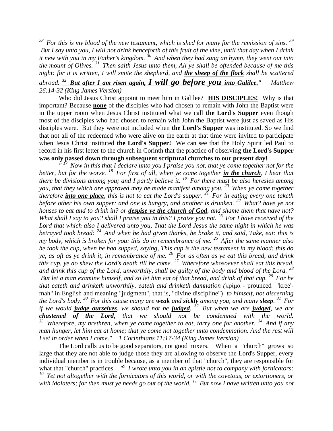*<sup>28</sup>For this is my blood of the new testament, which is shed for many for the remission of sins. <sup>29</sup> But I say unto you, I will not drink henceforth of this fruit of the vine, until that day when I drink it new with you in my Father's kingdom. <sup>30</sup>And when they had sung an hymn, they went out into the mount of Olives. <sup>31</sup>Then saith Jesus unto them, All ye shall be offended because of me this night: for it is written, I will smite the shepherd, and the sheep of the flock shall be scattered abroad. <sup>32</sup>But after I am risen again, I will go before you into Galilee." Matthew 26:14-32 (King James Version)* 

Who did Jesus Christ appoint to meet him in Galilee? **HIS DISCIPLES!** Why is that important? Because **none** of the disciples who had chosen to remain with John the Baptist were in the upper room when Jesus Christ instituted what we call **the Lord's Supper** even though most of the disciples who had chosen to remain with John the Baptist were just as saved as His disciples were. But they were not included when **the Lord's Supper** was instituted. So we find that not all of the redeemed who were alive on the earth at that time were invited to participate when Jesus Christ instituted **the Lord's Supper!** We can see that the Holy Spirit led Paul to record in his first letter to the church in Corinth that the practice of observing **the Lord's Supper was only passed down through subsequent scriptural churches to our present day!** 

*" <sup>17</sup>Now in this that I declare unto you I praise you not, that ye come together not for the better, but for the worse. <sup>18</sup>For first of all, when ye come together in the church, I hear that there be divisions among you; and I partly believe it. <sup>19</sup>For there must be also heresies among you, that they which are approved may be made manifest among you. <sup>20</sup>When ye come together therefore into one place, this is not to eat the Lord's supper. <sup>21</sup>For in eating every one taketh before other his own supper: and one is hungry, and another is drunken. <sup>22</sup>What? have ye not houses to eat and to drink in? or despise ye the church of God, and shame them that have not? What shall I say to you? shall I praise you in this? I praise you not. <sup>23</sup>For I have received of the Lord that which also I delivered unto you, That the Lord Jesus the same night in which he was betrayed took bread: <sup>24</sup>And when he had given thanks, he brake it, and said, Take, eat: this is my body, which is broken for you: this do in remembrance of me.* <sup>25</sup> After the same manner also *he took the cup, when he had supped, saying, This cup is the new testament in my blood: this do ye, as oft as ye drink it, in remembrance of me. <sup>26</sup>For as often as ye eat this bread, and drink this cup, ye do shew the Lord's death till he come. <sup>27</sup>Wherefore whosoever shall eat this bread, and drink this cup of the Lord, unworthily, shall be guilty of the body and blood of the Lord. <sup>28</sup> But let a man examine himself, and so let him eat of that bread, and drink of that cup. <sup>29</sup>For he that eateth and drinketh unworthily, eateth and drinketh damnation (*κρίμα - prounced "kree' mah" in English and meaning "judgment", that is, "divine discipline") *to himself, not discerning the Lord's body. <sup>30</sup>For this cause many are weak and sickly among you, and many sleep. <sup>31</sup>For if we would judge ourselves, we should not be judged. <sup>32</sup>But when we are judged, we are*  **chastened of the Lord**, that we should not be condemned with the world.<br><sup>33</sup> Wherefore my brethren when we come together to get taking and for gradier <sup>34</sup> And if *<sup>33</sup>Wherefore, my brethren, when ye come together to eat, tarry one for another. <sup>34</sup>And if any man hunger, let him eat at home; that ye come not together unto condemnation. And the rest will I set in order when I come." 1 Corinthians 11:17-34 (King James Version)* 

The Lord calls us to be good separators, not good mixers. When a "church" grows so large that they are not able to judge those they are allowing to observe the Lord's Supper, every individual member is in trouble because, as a member of that "church", they are responsible for what that "church" practices. <sup>"9</sup> *I wrote unto you in an epistle not to company with fornicators: <sup>10</sup>Yet not altogether with the fornicators of this world, or with the covetous, or extortioners, or with idolaters; for then must ye needs go out of the world. <sup>11</sup>But now I have written unto you not*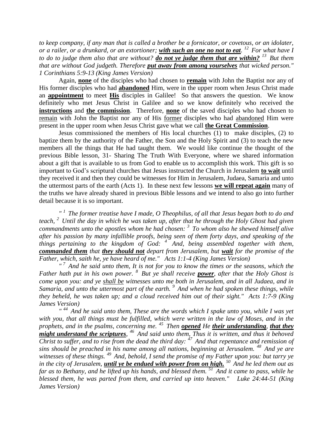*to keep company, if any man that is called a brother be a fornicator, or covetous, or an idolater, or a railer, or a drunkard, or an extortioner; with such an one no not to eat. <sup>12</sup>For what have I to do to judge them also that are without? do not ye judge them that are within? <sup>13</sup>But them that are without God judgeth. Therefore put away from among yourselves that wicked person." 1 Corinthians 5:9-13 (King James Version)* 

Again, **none** of the disciples who had chosen to **remain** with John the Baptist nor any of His former disciples who had **abandoned** Him, were in the upper room when Jesus Christ made an **appointment** to meet **His** disciples in Galilee! So that answers the question. We know definitely who met Jesus Christ in Galilee and so we know definitely who received the **instructions** and **the commission**. Therefore, **none** of the saved disciples who had chosen to remain with John the Baptist nor any of His former disciples who had abandoned Him were present in the upper room when Jesus Christ gave what we call **the Great Commission**.

Jesus commissioned the members of His local churches (1) to make disciples, (2) to baptize them by the authority of the Father, the Son and the Holy Spirit and (3) to teach the new members all the things that He had taught them. We would like continue the thought of the previous Bible lesson, 31- Sharing The Truth With Everyone, where we shared information about a gift that is available to us from God to enable us to accomplish this work. This gift is so important to God's scriptural churches that Jesus instructed the Church in Jerusalem **to wait** until they received it and then they could be witnesses for Him in Jerusalem, Judaea, Samaria and unto the uttermost parts of the earth (Acts 1). In these next few lessons **we will repeat again** many of the truths we have already shared in previous Bible lessons and we intend to also go into further detail because it is so important.

*" <sup>1</sup>The former treatise have I made, O Theophilus, of all that Jesus began both to do and teach, <sup>2</sup>Until the day in which he was taken up, after that he through the Holy Ghost had given commandments unto the apostles whom he had chosen: <sup>3</sup>To whom also he shewed himself alive after his passion by many infallible proofs, being seen of them forty days, and speaking of the things pertaining to the kingdom of God: <sup>4</sup>And, being assembled together with them, commanded them that they should not depart from Jerusalem, but wait for the promise of the Father, which, saith he, ye have heard of me." Acts 1:1-4 (King James Version)* 

*" <sup>7</sup>And he said unto them, It is not for you to know the times or the seasons, which the Father hath put in his own power. <sup>8</sup>But ye shall receive power, after that the Holy Ghost is come upon you: and ye shall be witnesses unto me both in Jerusalem, and in all Judaea, and in Samaria, and unto the uttermost part of the earth. <sup>9</sup>And when he had spoken these things, while they beheld, he was taken up; and a cloud received him out of their sight." Acts 1:7-9 (King James Version)* 

*" <sup>44</sup>And he said unto them, These are the words which I spake unto you, while I was yet with you, that all things must be fulfilled, which were written in the law of Moses, and in the prophets, and in the psalms, concerning me. <sup>45</sup>Then opened He their understanding, that they might understand the scriptures, <sup>46</sup>And said unto them, Thus it is written, and thus it behoved Christ to suffer, and to rise from the dead the third day: <sup>47</sup>And that repentance and remission of sins should be preached in his name among all nations, beginning at Jerusalem. <sup>48</sup>And ye are witnesses of these things. <sup>49</sup>And, behold, I send the promise of my Father upon you: but tarry ye in the city of Jerusalem, until ye be endued with power from on high. <sup>50</sup>And he led them out as far as to Bethany, and he lifted up his hands, and blessed them. <sup>51</sup>And it came to pass, while he blessed them, he was parted from them, and carried up into heaven." Luke 24:44-51 (King James Version)*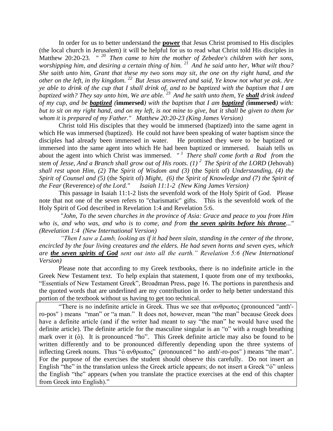In order for us to better understand the **power** that Jesus Christ promised to His disciples (the local church in Jerusalem) it will be helpful for us to read what Christ told His disciples in Matthew 20:20-23. <sup>" 20</sup> Then came to him the mother of Zebedee's children with her sons, *worshipping him, and desiring a certain thing of him. <sup>21</sup>And he said unto her, What wilt thou? She saith unto him, Grant that these my two sons may sit, the one on thy right hand, and the other on the left, in thy kingdom. <sup>22</sup>But Jesus answered and said, Ye know not what ye ask. Are ye able to drink of the cup that I shall drink of, and to be baptized with the baptism that I am baptized with? They say unto him, We are able. <sup>23</sup>And he saith unto them, Ye shall drink indeed of my cup, and be baptized (***immersed***) with the baptism that I am baptized (***immersed***) with: but to sit on my right hand, and on my left, is not mine to give, but it shall be given to them for whom it is prepared of my Father." Matthew 20:20-23 (King James Version)* 

Christ told His disciples that they would be immersed (baptized) into the same agent in which He was immersed (baptized). He could not have been speaking of water baptism since the disciples had already been immersed in water. He promised they were to be baptized or immersed into the same agent into which He had been baptized or immersed. Isaiah tells us about the agent into which Christ was immersed. *" <sup>1</sup>There shall come forth a Rod from the stem of Jesse, And a Branch shall grow out of His roots. (1) <sup>2</sup>The Spirit of the LORD* (Jehovah) *shall rest upon Him, (2) The Spirit of Wisdom and (3)* (the Spirit of) *Understanding, (4) the Spirit of Counsel and (5)* (the Spirit of) *Might, (6) the Spirit of Knowledge and (7) the Spirit of the Fear* (Reverence) *of the Lord." Isaiah 11:1-2 (New King James Version)* 

This passage in Isaiah 11:1-2 lists the sevenfold work of the Holy Spirit of God. Please note that not one of the seven refers to "charismatic" gifts. This is the sevenfold work of the Holy Spirit of God described in Revelation 1:4 and Revelation 5:6.

*"John, To the seven churches in the province of Asia: Grace and peace to you from Him who is, and who was, and who is to come, and from the seven spirits before his throne..." (Revelation 1:4 (New International Version)* 

*"Then I saw a Lamb, looking as if it had been slain, standing in the center of the throne, encircled by the four living creatures and the elders. He had seven horns and seven eyes, which are the seven spirits of God sent out into all the earth." Revelation 5:6 (New International Version)* 

Please note that according to my Greek textbooks, there is no indefinite article in the Greek New Testament text. To help explain that statement, I quote from one of my textbooks, "Essentials of New Testament Greek", Broadman Press, page 16. The portions in parenthesis and the quoted words that are underlined are my contribution in order to help better understand this portion of the textbook without us having to get too technical.

"There is no indefinite article in Greek. Thus we see that  $\alpha \nu \theta \rho \omega \pi o \varsigma$  (pronounced "anth'ro-pos" ) means "man" or "a man." It does not, however, mean "the man" because Greek does have a definite article (and if the writer had meant to say "the man" he would have used the definite article). The definite article for the masculine singular is an "o" with a rough breathing mark over it (ὁ). It is pronounced "ho". This Greek definite article may also be found to be written differently and to be pronounced differently depending upon the three systems of inflecting Greek nouns. Thus "ὁ ανθρωπος" (pronounced " ho anth'-ro-pos" ) means "the man". For the purpose of the exercises the student should observe this carefully. Do not insert an English "the" in the translation unless the Greek article appears; do not insert a Greek "o" unless the English "the" appears (when you translate the practice exercises at the end of this chapter from Greek into English)."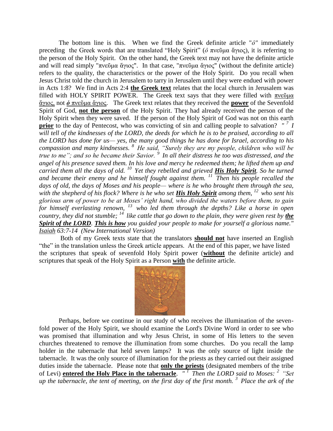The bottom line is this. When we find the Greek definite article "*ὁ"* immediately preceding the Greek words that are translated "Holy Spirit" (*ὁ* πνεῦμα ἅγιος), it is referring to the person of the Holy Spirit. On the other hand, the Greek text may not have the definite article and will read simply "πνεῦμα ἅγιος". In that case, "πνεῦμα ἅγιος" (without the definite article) refers to the quality, the characteristics or the power of the Holy Spirit. Do you recall when Jesus Christ told the church in Jerusalem to tarry in Jerusalem until they were endued with power in Acts 1:8? We find in Acts 2:4 **the Greek text** relates that the local church in Jerusalem was filled with HOLY SPIRIT POWER. The Greek text says that they were filled with πνεῦμα ἅγιος, not *ὁ* πνεῦμα ἅγιος. The Greek text relates that they received the **power** of the Sevenfold Spirit of God, **not the person** of the Holy Spirit. They had already received the person of the Holy Spirit when they were saved. If the person of the Holy Spirit of God was not on this earth **prior** to the day of Pentecost, who was convicting of sin and calling people to salvation? *" <sup>7</sup>I will tell of the kindnesses of the LORD, the deeds for which he is to be praised, according to all the LORD has done for us— yes, the many good things he has done for Israel, according to his compassion and many kindnesses. <sup>8</sup>He said, "Surely they are my people, children who will be true to me"; and so he became their Savior. <sup>9</sup>In all their distress he too was distressed, and the angel of his presence saved them. In his love and mercy he redeemed them; he lifted them up and carried them all the days of old. <sup>10</sup>Yet they rebelled and grieved His Holy Spirit. So he turned and became their enemy and he himself fought against them. <sup>11</sup>Then his people recalled the days of old, the days of Moses and his people— where is he who brought them through the sea, with the shepherd of his flock? Where is he who set His Holy Spirit among them, <sup>12</sup>who sent his glorious arm of power to be at Moses' right hand, who divided the waters before them, to gain for himself everlasting renown, <sup>13</sup>who led them through the depths? Like a horse in open country, they did not stumble;* <sup>14</sup> like cattle that go down to the plain, they were given rest by **the** *Spirit of the LORD. This is how you guided your people to make for yourself a glorious name." Isaiah 63:7-14 (New International Version)* 

Both of my Greek texts state that the translators **should not** have inserted an English "the" in the translation unless the Greek article appears. At the end of this paper, we have listed the scriptures that speak of sevenfold Holy Spirit power (**without** the definite article) and scriptures that speak of the Holy Spirit as a Person **with** the definite article.



Perhaps, before we continue in our study of who receives the illumination of the sevenfold power of the Holy Spirit, we should examine the Lord's Divine Word in order to see who was promised that illumination and why Jesus Christ, in some of His letters to the seven churches threatened to remove the illumination from some churches. Do you recall the lamp holder in the tabernacle that held seven lamps? It was the only source of light inside the tabernacle. It was the only source of illumination for the priests as they carried out their assigned duties inside the tabernacle. Please note that **only the priests** (designated members of the tribe of Levi) **entered the Holy Place in the tabernacle**. *" <sup>1</sup>Then the LORD said to Moses: <sup>2</sup>"Set up the tabernacle, the tent of meeting, on the first day of the first month. <sup>3</sup>Place the ark of the*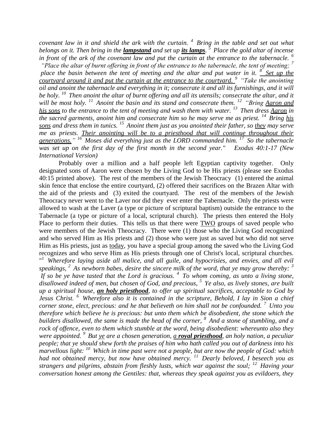*covenant law in it and shield the ark with the curtain. <sup>4</sup>Bring in the table and set out what belongs on it. Then bring in the lampstand and set up its lamps. <sup>5</sup>Place the gold altar of incense in front of the ark of the covenant law and put the curtain at the entrance to the tabernacle. <sup>6</sup> "Place the altar of burnt offering in front of the entrance to the tabernacle, the tent of meeting; <sup>7</sup>*

*place the basin between the tent of meeting and the altar and put water in it. <sup>8</sup>Set up the courtyard around it and put the curtain at the entrance to the courtyard. <sup>9</sup>"Take the anointing oil and anoint the tabernacle and everything in it; consecrate it and all its furnishings, and it will be holy. <sup>10</sup>Then anoint the altar of burnt offering and all its utensils; consecrate the altar, and it will be most holy. <sup>11</sup>Anoint the basin and its stand and consecrate them. <sup>12</sup>"Bring Aaron and his sons to the entrance to the tent of meeting and wash them with water. <sup>13</sup>Then dress Aaron in the sacred garments, anoint him and consecrate him so he may serve me as priest.* <sup>14</sup> *Bring his sons and dress them in tunics. <sup>15</sup>Anoint them just as you anointed their father, so they may serve me as priests. Their anointing will be to a priesthood that will continue throughout their generations." <sup>16</sup>Moses did everything just as the LORD commanded him. <sup>17</sup>So the tabernacle was set up on the first day of the first month in the second year." Exodus 40:1-17 (New International Version)* 

Probably over a million and a half people left Egyptian captivity together. Only designated sons of Aaron were chosen by the Living God to be His priests (please see Exodus 40:15 printed above). The rest of the members of the Jewish Theocracy (1) entered the animal skin fence that enclose the entire courtyard, (2) offered their sacrifices on the Brazen Altar with the aid of the priests and (3) exited the courtyard. The rest of the members of the Jewish Theocracy never went to the Laver nor did they ever enter the Tabernacle. Only the priests were allowed to wash at the Laver (a type or picture of scriptural baptism) outside the entrance to the Tabernacle (a type or picture of a local, scriptural church). The priests then entered the Holy Place to perform their duties. This tells us that there were TWO groups of saved people who were members of the Jewish Theocracy. There were (1) those who the Living God recognized and who served Him as His priests and (2) those who were just as saved but who did not serve Him as His priests, just as today, you have a special group among the saved who the Living God recognizes and who serve Him as His priests through one of Christ's local, scriptural churches. " *<sup>1</sup>Wherefore laying aside all malice, and all guile, and hypocrisies, and envies, and all evil speakings, <sup>2</sup>As newborn babes, desire the sincere milk of the word, that ye may grow thereby: <sup>3</sup> If so be ye have tasted that the Lord is gracious. <sup>4</sup>To whom coming, as unto a living stone, disallowed indeed of men, but chosen of God, and precious, <sup>5</sup>Ye also, as lively stones, are built up a spiritual house, an holy priesthood, to offer up spiritual sacrifices, acceptable to God by* 

*Jesus Christ. <sup>6</sup>Wherefore also it is contained in the scripture, Behold, I lay in Sion a chief corner stone, elect, precious: and he that believeth on him shall not be confounded. <sup>7</sup>Unto you therefore which believe he is precious: but unto them which be disobedient, the stone which the builders disallowed, the same is made the head of the corner, <sup>8</sup>And a stone of stumbling, and a rock of offence, even to them which stumble at the word, being disobedient: whereunto also they were appointed. <sup>9</sup>But ye are a chosen generation, a royal priesthood, an holy nation, a peculiar people; that ye should shew forth the praises of him who hath called you out of darkness into his marvellous light: <sup>10</sup>Which in time past were not a people, but are now the people of God: which had not obtained mercy, but now have obtained mercy. <sup>11</sup>Dearly beloved, I beseech you as strangers and pilgrims, abstain from fleshly lusts, which war against the soul; <sup>12</sup>Having your conversation honest among the Gentiles: that, whereas they speak against you as evildoers, they*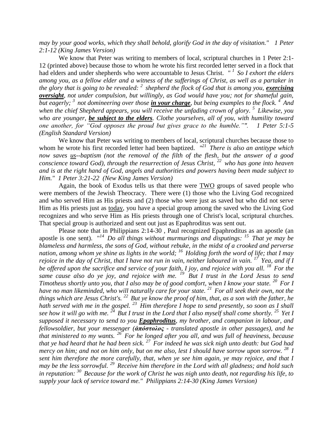*may by your good works, which they shall behold, glorify God in the day of visitation." 1 Peter 2:1-12 (King James Version)* 

We know that Peter was writing to members of local, scriptural churches in 1 Peter 2:1- 12 (printed above) because those to whom he wrote his first recorded letter served in a flock that had elders and under shepherds who were accountable to Jesus Christ. *" <sup>1</sup>So I exhort the elders among you, as a fellow elder and a witness of the sufferings of Christ, as well as a partaker in the glory that is going to be revealed: <sup>2</sup>shepherd the flock of God that is among you, exercising oversight, not under compulsion, but willingly, as God would have you; not for shameful gain, but eagerly; <sup>3</sup>not domineering over those in your charge, but being examples to the flock. <sup>4</sup>And when the chief Shepherd appears, you will receive the unfading crown of glory. <sup>5</sup>Likewise, you who are younger, be subject to the elders. Clothe yourselves, all of you, with humility toward one another, for "God opposes the proud but gives grace to the humble."". 1 Peter 5:1-5 (English Standard Version)*

We know that Peter was writing to members of local, scriptural churches because those to whom he wrote his first recorded letter had been baptized. *" <sup>21</sup>There is also an antitype which now saves us--baptism (not the removal of the filth of the flesh, but the answer of a good conscience toward God), through the resurrection of Jesus Christ, <sup>22</sup>who has gone into heaven and is at the right hand of God, angels and authorities and powers having been made subject to Him." 1 Peter 3:21-22 (New King James Version)* 

Again, the book of Exodus tells us that there were TWO groups of saved people who were members of the Jewish Theocracy. There were (1) those who the Living God recognized and who served Him as His priests and (2) those who were just as saved but who did not serve Him as His priests just as today, you have a special group among the saved who the Living God recognizes and who serve Him as His priests through one of Christ's local, scriptural churches. That special group is authorized and sent out just as Epaphroditus was sent out.

Please note that in Philippians 2:14-30 , Paul recognized Epaphroditus as an apostle (an apostle is one sent). "*<sup>14</sup>Do all things without murmurings and disputings: <sup>15</sup>That ye may be blameless and harmless, the sons of God, without rebuke, in the midst of a crooked and perverse nation, among whom ye shine as lights in the world; <sup>16</sup>Holding forth the word of life; that I may rejoice in the day of Christ, that I have not run in vain, neither laboured in vain. <sup>17</sup>Yea, and if I be offered upon the sacrifice and service of your faith, I joy, and rejoice with you all. <sup>18</sup>For the same cause also do ye joy, and rejoice with me. <sup>19</sup>But I trust in the Lord Jesus to send Timotheus shortly unto you, that I also may be of good comfort, when I know your state. <sup>20</sup>For I have no man likeminded, who will naturally care for your state. <sup>21</sup>For all seek their own, not the things which are Jesus Christ's. <sup>22</sup>But ye know the proof of him, that, as a son with the father, he hath served with me in the gospel. <sup>23</sup>Him therefore I hope to send presently, so soon as I shall see how it will go with me.*  $^{24}$  But I trust in the Lord that I also myself shall come shortly. <sup>25</sup> Yet I *supposed it necessary to send to you Epaphroditus, my brother, and companion in labour, and fellowsoldier, but your messenger (ἀπόστολος - translated apostle in other passages), and he that ministered to my wants. <sup>26</sup>For he longed after you all, and was full of heaviness, because that ye had heard that he had been sick. <sup>27</sup>For indeed he was sick nigh unto death: but God had mercy on him; and not on him only, but on me also, lest I should have sorrow upon sorrow. <sup>28</sup>I sent him therefore the more carefully, that, when ye see him again, ye may rejoice, and that I may be the less sorrowful. <sup>29</sup>Receive him therefore in the Lord with all gladness; and hold such in reputation: <sup>30</sup>Because for the work of Christ he was nigh unto death, not regarding his life, to supply your lack of service toward me." Philippians 2:14-30 (King James Version)*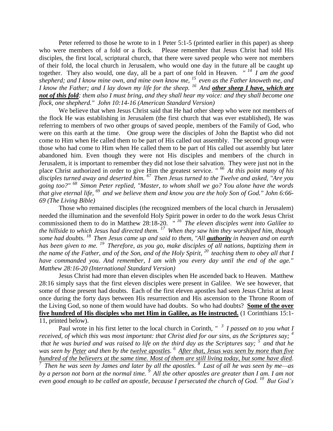Peter referred to those he wrote to in 1 Peter 5:1-5 (printed earlier in this paper) as sheep who were members of a fold or a flock. Please remember that Jesus Christ had told His disciples, the first local, scriptural church, that there were saved people who were not members of their fold, the local church in Jerusalem, who would one day in the future all be caught up together. They also would, one day, all be a part of one fold in Heaven. *" <sup>14</sup>I am the good shepherd; and I know mine own, and mine own know me, <sup>15</sup>even as the Father knoweth me, and I know the Father; and I lay down my life for the sheep. <sup>16</sup>And other sheep I have, which are not of this fold: them also I must bring, and they shall hear my voice: and they shall become one flock, one shepherd." John 10:14-16 (American Standard Version)*

We believe that when Jesus Christ said that He had other sheep who were not members of the flock He was establishing in Jerusalem (the first church that was ever established), He was referring to members of two other groups of saved people, members of the Family of God, who were on this earth at the time. One group were the disciples of John the Baptist who did not come to Him when He called them to be part of His called out assembly. The second group were those who had come to Him when He called them to be part of His called out assembly but later abandoned him. Even though they were not His disciples and members of the church in Jerusalem, it is important to remember they did not lose their salvation. They were just not in the place Christ authorized in order to give Him the greatest service. *" <sup>66</sup>At this point many of his disciples turned away and deserted him. <sup>67</sup>Then Jesus turned to the Twelve and asked, "Are you going too?" <sup>68</sup>Simon Peter replied, "Master, to whom shall we go? You alone have the words that give eternal life, <sup>69</sup>and we believe them and know you are the holy Son of God." John 6:66- 69 (The Living Bible)*

Those who remained disciples (the recognized members of the local church in Jerusalem) needed the illumination and the sevenfold Holy Spirit power in order to do the work Jesus Christ commissioned them to do in Matthew 28:18-20. *" <sup>16</sup>The eleven disciples went into Galilee to the hillside to which Jesus had directed them. <sup>17</sup>When they saw him they worshiped him, though some had doubts. <sup>18</sup>Then Jesus came up and said to them, "All authority in heaven and on earth has been given to me. <sup>19</sup>Therefore, as you go, make disciples of all nations, baptizing them in the name of the Father, and of the Son, and of the Holy Spirit, <sup>20</sup>teaching them to obey all that I have commanded you. And remember, I am with you every day until the end of the age." Matthew 28:16-20 (International Standard Version)*

Jesus Christ had more than eleven disciples when He ascended back to Heaven. Matthew 28:16 simply says that the first eleven disciples were present in Galilee. We see however, that some of those present had doubts. Each of the first eleven apostles had seen Jesus Christ at least once during the forty days between His resurrection and His ascension to the Throne Room of the Living God, so none of them would have had doubts. So who had doubts? **Some of the over five hundred of His disciples who met Him in Galilee, as He instructed.** (1 Corinthians 15:1- 11, printed below).

Paul wrote in his first letter to the local church in Corinth, *" <sup>3</sup>I passed on to you what I received, of which this was most important: that Christ died for our sins, as the Scriptures say; <sup>4</sup> that he was buried and was raised to life on the third day as the Scriptures say; <sup>5</sup>and that he was seen by Peter and then by the twelve apostles. <sup>6</sup>After that, Jesus was seen by more than five hundred of the believers at the same time. Most of them are still living today, but some have died.* 

*<sup>7</sup>Then he was seen by James and later by all the apostles. <sup>8</sup>Last of all he was seen by me—as by a person not born at the normal time. <sup>9</sup>All the other apostles are greater than I am. I am not even good enough to be called an apostle, because I persecuted the church of God. <sup>10</sup>But God's*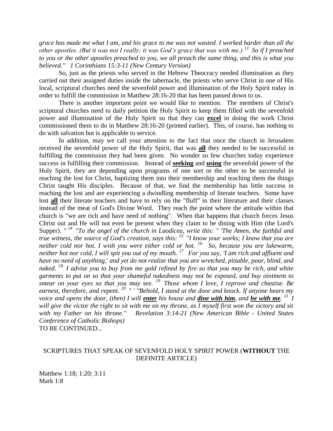*grace has made me what I am, and his grace to me was not wasted. I worked harder than all the other apostles. (But it was not I really; it was God's grace that was with me.) <sup>11</sup>So if I preached to you or the other apostles preached to you, we all preach the same thing, and this is what you believed." 1 Corinthians 15:3-11 (New Century Version)*

So, just as the priests who served in the Hebrew Theocracy needed illumination as they carried out their assigned duties inside the tabernacle, the priests who serve Christ in one of His local, scriptural churches need the sevenfold power and illumination of the Holy Spirit today in order to fulfill the commission in Matthew 28:16-20 that has been passed down to us.

There is another important point we would like to mention. The members of Christ's scriptural churches need to daily petition the Holy Spirit to keep them filled with the sevenfold power and illumination of the Holy Spirit so that they can **excel** in doing the work Christ commissioned them to do in Matthew 28:16-20 (printed earlier). This, of course, has nothing to do with salvation but is applicable to service.

In addition, may we call your attention to the fact that once the church in Jerusalem received the sevenfold power of the Holy Spirit, that was **all** they needed to be successful in fulfilling the commission they had been given. No wonder so few churches today experience success in fulfilling their commission. Instead of **seeking** and **using** the sevenfold power of the Holy Spirit, they are depending upon programs of one sort or the other to be successful in reaching the lost for Christ, baptizing them into their membership and teaching them the things Christ taught His disciples. Because of that, we find the membership has little success in reaching the lost and are experiencing a dwindling membership of literate teachers. Some have lost **all** their literate teachers and have to rely on the "fluff" in their literature and their classes instead of the meat of God's Divine Word. They reach the point where the attitude within that church is "we are rich and have need of nothing". When that happens that church forces Jesus Christ out and He will not even be present when they claim to be dining with Him (the Lord's Supper). "<sup>14</sup> "To the angel of the church in Laodicea, write this: " The Amen, the faithful and *true witness, the source of God's creation, says this: <sup>15</sup>"I know your works; I know that you are neither cold nor hot. I wish you were either cold or hot. <sup>16</sup>So, because you are lukewarm, neither hot nor cold, I will spit you out of my mouth. <sup>17</sup>For you say, 'I am rich and affluent and have no need of anything,' and yet do not realize that you are wretched, pitiable, poor, blind, and naked. <sup>18</sup>I advise you to buy from me gold refined by fire so that you may be rich, and white garments to put on so that your shameful nakedness may not be exposed, and buy ointment to smear on your eyes so that you may see. <sup>19</sup>Those whom I love, I reprove and chastise. Be earnest, therefore, and repent. <sup>20</sup>" ' "Behold, I stand at the door and knock. If anyone hears my voice and opens the door, (then) I will enter his house and dine with him, and he with me. <sup>21</sup>I will give the victor the right to sit with me on my throne, as I myself first won the victory and sit with my Father on his throne." Revelation 3:14-21 (New American Bible - United States Conference of Catholic Bishops)*  TO BE CONTINUED...

## SCRIPTURES THAT SPEAK OF SEVENFOLD HOLY SPIRIT POWER (**WITHOUT** THE DEFINITE ARTICLE)

Matthew 1:18; 1:20; 3:11 Mark 1:8